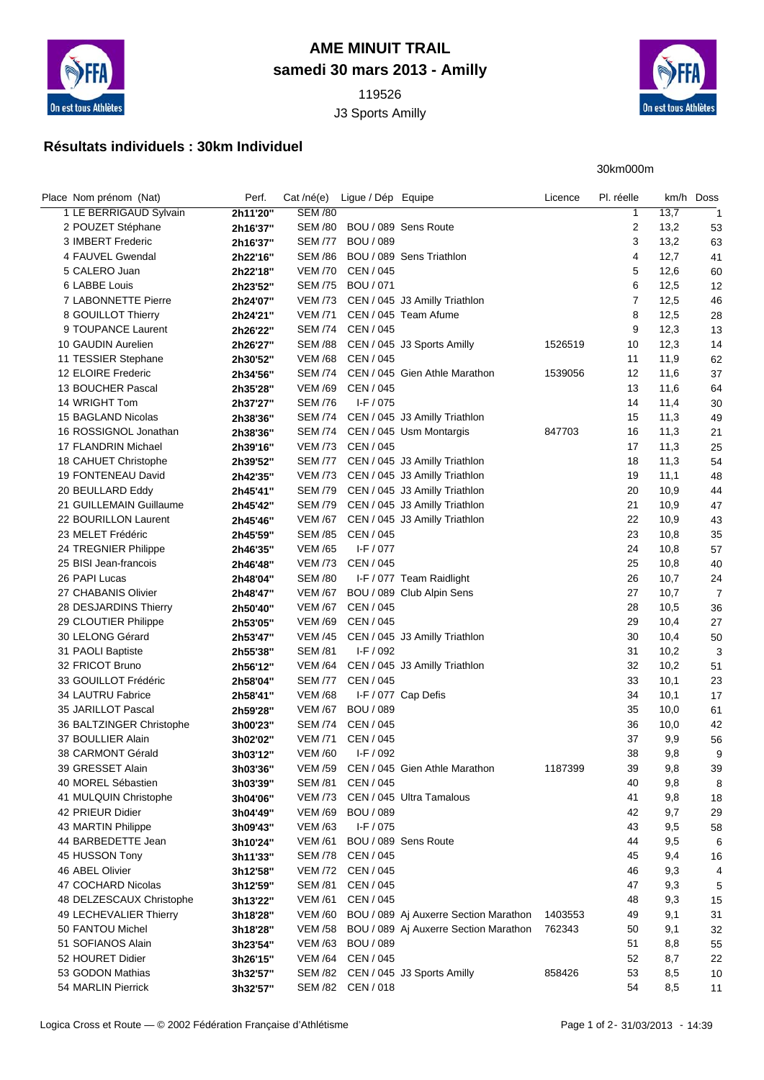

## **AME MINUIT TRAIL samedi 30 mars 2013 - Amilly**

119526 J3 Sports Amilly



30km000m

## **Résultats individuels : 30km Individuel**

| Place Nom prénom (Nat)   | Perf.    |                | Cat/né(e) Ligue / Dép Equipe |                                       | Licence | Pl. réelle     |      | km/h Doss               |
|--------------------------|----------|----------------|------------------------------|---------------------------------------|---------|----------------|------|-------------------------|
| 1 LE BERRIGAUD Sylvain   | 2h11'20" | <b>SEM /80</b> |                              |                                       |         | 1              | 13,7 | $\overline{\mathbf{1}}$ |
| 2 POUZET Stéphane        | 2h16'37" |                | SEM /80 BOU / 089 Sens Route |                                       |         | 2              | 13,2 | 53                      |
| 3 IMBERT Frederic        | 2h16'37" | <b>SEM /77</b> | <b>BOU / 089</b>             |                                       |         | 3              | 13,2 | 63                      |
| 4 FAUVEL Gwendal         | 2h22'16" | <b>SEM /86</b> |                              | BOU / 089 Sens Triathlon              |         | 4              | 12,7 | 41                      |
| 5 CALERO Juan            | 2h22'18" |                | VEM /70 CEN / 045            |                                       |         | 5              | 12,6 | 60                      |
| 6 LABBE Louis            | 2h23'52" |                | SEM /75 BOU / 071            |                                       |         | 6              | 12,5 | 12                      |
| 7 LABONNETTE Pierre      | 2h24'07" |                |                              | VEM /73 CEN / 045 J3 Amilly Triathlon |         | $\overline{7}$ | 12,5 | 46                      |
| 8 GOUILLOT Thierry       | 2h24'21" | <b>VEM /71</b> |                              | CEN / 045 Team Afume                  |         | 8              | 12,5 | 28                      |
| 9 TOUPANCE Laurent       | 2h26'22" | SEM /74        | CEN / 045                    |                                       |         | 9              | 12,3 | 13                      |
| 10 GAUDIN Aurelien       | 2h26'27" | <b>SEM /88</b> |                              | CEN / 045 J3 Sports Amilly            | 1526519 | 10             | 12,3 | 14                      |
| 11 TESSIER Stephane      | 2h30'52" | <b>VEM /68</b> | CEN / 045                    |                                       |         | 11             | 11,9 | 62                      |
| 12 ELOIRE Frederic       | 2h34'56" | <b>SEM /74</b> |                              | CEN / 045 Gien Athle Marathon         | 1539056 | 12             | 11,6 | 37                      |
| 13 BOUCHER Pascal        | 2h35'28" | <b>VEM /69</b> | CEN / 045                    |                                       |         | 13             | 11,6 | 64                      |
| 14 WRIGHT Tom            | 2h37'27" | <b>SEM /76</b> | $I-F/075$                    |                                       |         | 14             | 11,4 | 30                      |
| 15 BAGLAND Nicolas       | 2h38'36" |                |                              | SEM /74 CEN / 045 J3 Amilly Triathlon |         | 15             | 11,3 | 49                      |
| 16 ROSSIGNOL Jonathan    | 2h38'36" | SEM /74        |                              | CEN / 045 Usm Montargis               | 847703  | 16             | 11,3 | 21                      |
| 17 FLANDRIN Michael      | 2h39'16" |                | VEM /73 CEN / 045            |                                       |         | 17             | 11,3 | 25                      |
| 18 CAHUET Christophe     | 2h39'52" | <b>SEM /77</b> |                              | CEN / 045 J3 Amilly Triathlon         |         | 18             | 11,3 | 54                      |
| 19 FONTENEAU David       | 2h42'35" |                |                              | VEM /73 CEN / 045 J3 Amilly Triathlon |         | 19             | 11,1 | 48                      |
| 20 BEULLARD Eddy         | 2h45'41" |                |                              | SEM /79 CEN / 045 J3 Amilly Triathlon |         | 20             | 10,9 | 44                      |
| 21 GUILLEMAIN Guillaume  | 2h45'42" |                |                              | SEM /79 CEN / 045 J3 Amilly Triathlon |         | 21             | 10,9 | 47                      |
| 22 BOURILLON Laurent     | 2h45'46" | <b>VEM /67</b> |                              | CEN / 045 J3 Amilly Triathlon         |         | 22             | 10,9 | 43                      |
| 23 MELET Frédéric        | 2h45'59" | <b>SEM /85</b> | CEN / 045                    |                                       |         | 23             | 10,8 | 35                      |
| 24 TREGNIER Philippe     | 2h46'35" | <b>VEM /65</b> | $I-F / 077$                  |                                       |         | 24             | 10,8 | 57                      |
| 25 BISI Jean-francois    | 2h46'48" | <b>VEM /73</b> | CEN / 045                    |                                       |         | 25             | 10,8 | 40                      |
| 26 PAPI Lucas            | 2h48'04" | <b>SEM /80</b> |                              | I-F / 077 Team Raidlight              |         | 26             | 10,7 | 24                      |
| 27 CHABANIS Olivier      | 2h48'47" | <b>VEM /67</b> |                              | BOU / 089 Club Alpin Sens             |         | 27             | 10,7 | 7                       |
| 28 DESJARDINS Thierry    | 2h50'40" | <b>VEM /67</b> | CEN / 045                    |                                       |         | 28             | 10,5 | 36                      |
| 29 CLOUTIER Philippe     | 2h53'05" | <b>VEM /69</b> | CEN / 045                    |                                       |         | 29             | 10,4 | 27                      |
| 30 LELONG Gérard         | 2h53'47" | <b>VEM /45</b> |                              | CEN / 045 J3 Amilly Triathlon         |         | 30             | 10,4 | 50                      |
| 31 PAOLI Baptiste        | 2h55'38" | <b>SEM /81</b> | $I-F/092$                    |                                       |         | 31             | 10,2 | 3                       |
| 32 FRICOT Bruno          | 2h56'12" | VEM /64        |                              | CEN / 045 J3 Amilly Triathlon         |         | 32             | 10,2 | 51                      |
| 33 GOUILLOT Frédéric     | 2h58'04" | <b>SEM /77</b> | CEN / 045                    |                                       |         | 33             | 10,1 | 23                      |
| 34 LAUTRU Fabrice        | 2h58'41" | <b>VEM /68</b> |                              | I-F / 077 Cap Defis                   |         | 34             | 10,1 | 17                      |
| 35 JARILLOT Pascal       | 2h59'28" | <b>VEM /67</b> | <b>BOU / 089</b>             |                                       |         | 35             | 10,0 | 61                      |
| 36 BALTZINGER Christophe | 3h00'23" | <b>SEM /74</b> | CEN / 045                    |                                       |         | 36             | 10,0 | 42                      |
| 37 BOULLIER Alain        | 3h02'02" | <b>VEM /71</b> | CEN / 045                    |                                       |         | 37             | 9,9  | 56                      |
| 38 CARMONT Gérald        | 3h03'12" | <b>VEM /60</b> | $I-F/092$                    |                                       |         | 38             | 9,8  | g                       |
| 39 GRESSET Alain         | 3h03'36" | VEM /59        |                              | CEN / 045 Gien Athle Marathon         | 1187399 | 39             | 9,8  | 39                      |
| 40 MOREL Sébastien       | 3h03'39" | <b>SEM /81</b> | CEN / 045                    |                                       |         | 40             | 9,8  | 8                       |
| 41 MULQUIN Christophe    | 3h04'06" | <b>VEM /73</b> |                              | CEN / 045 Ultra Tamalous              |         | 41             | 9,8  | 18                      |
| 42 PRIEUR Didier         | 3h04'49" | VEM /69        | <b>BOU</b> / 089             |                                       |         | 42             | 9,7  | 29                      |
| 43 MARTIN Philippe       | 3h09'43" | <b>VEM /63</b> | $I-F / 075$                  |                                       |         | 43             | 9,5  | 58                      |
| 44 BARBEDETTE Jean       | 3h10'24" | <b>VEM /61</b> |                              | BOU / 089 Sens Route                  |         | 44             | 9,5  | 6                       |
| 45 HUSSON Tony           | 3h11'33" | <b>SEM /78</b> | CEN / 045                    |                                       |         | 45             | 9,4  | 16                      |
| 46 ABEL Olivier          | 3h12'58" | <b>VEM /72</b> | CEN / 045                    |                                       |         | 46             | 9,3  | 4                       |
| 47 COCHARD Nicolas       | 3h12'59" | <b>SEM /81</b> | CEN / 045                    |                                       |         | 47             | 9,3  | 5                       |
| 48 DELZESCAUX Christophe | 3h13'22" | <b>VEM /61</b> | CEN / 045                    |                                       |         | 48             | 9,3  | 15                      |
| 49 LECHEVALIER Thierry   | 3h18'28" | <b>VEM /60</b> |                              | BOU / 089 Aj Auxerre Section Marathon | 1403553 | 49             | 9,1  | 31                      |
| 50 FANTOU Michel         | 3h18'28" | VEM /58        |                              | BOU / 089 Aj Auxerre Section Marathon | 762343  | 50             | 9,1  | 32                      |
| 51 SOFIANOS Alain        | 3h23'54" | <b>VEM /63</b> | <b>BOU / 089</b>             |                                       |         | 51             | 8,8  | 55                      |
| 52 HOURET Didier         | 3h26'15" | <b>VEM /64</b> | CEN / 045                    |                                       |         | 52             | 8,7  | 22                      |
| 53 GODON Mathias         | 3h32'57" | <b>SEM /82</b> |                              | CEN / 045 J3 Sports Amilly            | 858426  | 53             | 8,5  | 10                      |
| 54 MARLIN Pierrick       | 3h32'57" |                | SEM /82 CEN / 018            |                                       |         | 54             | 8,5  | 11                      |